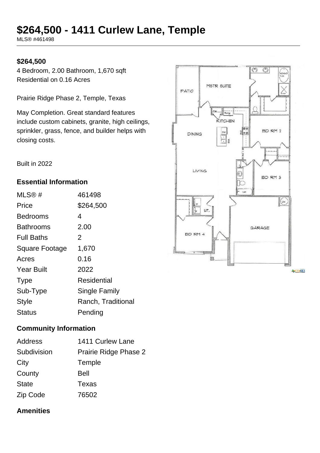# **\$264,500 - 1411 Curlew Lane, Temple**

MLS® #461498

#### **\$264,500**

4 Bedroom, 2.00 Bathroom, 1,670 sqft Residential on 0.16 Acres

Prairie Ridge Phase 2, Temple, Texas

May Completion. Great standard features include custom cabinets, granite, high ceilings, sprinkler, grass, fence, and builder helps with closing costs.

Built in 2022

#### **Essential Information**

| MLS@#                 | 461498             |
|-----------------------|--------------------|
| Price                 | \$264,500          |
| Bedrooms              | 4                  |
| <b>Bathrooms</b>      | 2.00               |
| <b>Full Baths</b>     | 2                  |
| <b>Square Footage</b> | 1,670              |
| Acres                 | 0.16               |
| <b>Year Built</b>     | 2022               |
| <b>Type</b>           | Residential        |
| Sub-Type              | Single Family      |
| <b>Style</b>          | Ranch, Traditional |
| Status                | Pending            |

#### **Community Information**

| Address      | 1411 Curlew Lane      |
|--------------|-----------------------|
| Subdivision  | Prairie Ridge Phase 2 |
| City         | Temple                |
| County       | <b>Bell</b>           |
| <b>State</b> | Texas                 |
| Zip Code     | 76502                 |